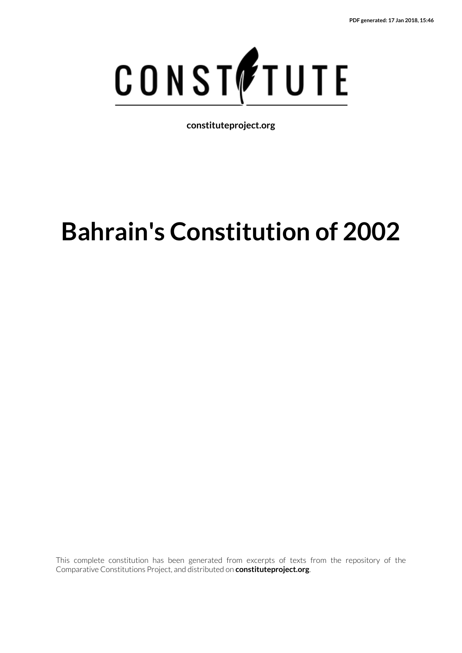

**constituteproject.org**

# **Bahrain's Constitution of 2002**

This complete constitution has been generated from excerpts of texts from the repository of the Comparative Constitutions Project, and distributed on **constituteproject.org**.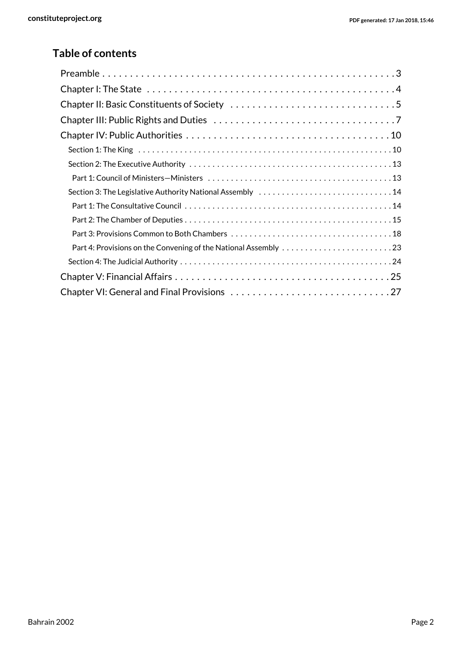### **Table of contents**

| Section 3: The Legislative Authority National Assembly 14 |
|-----------------------------------------------------------|
|                                                           |
|                                                           |
|                                                           |
|                                                           |
|                                                           |
|                                                           |
|                                                           |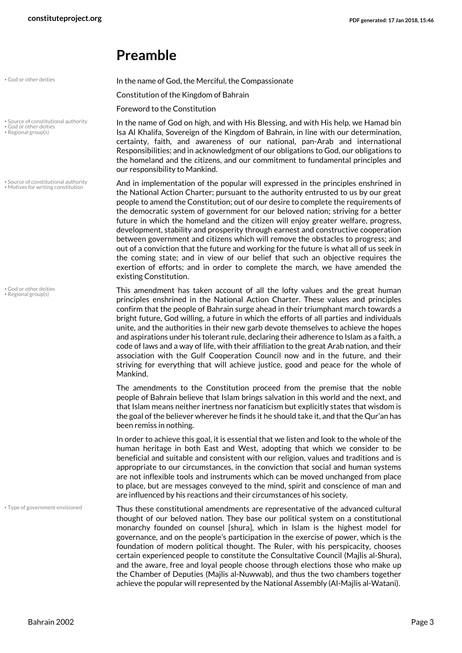# <span id="page-2-0"></span>**Preamble**

• Source of constitutional authority • God or other deities

• Regional group(s)

Source of constitutional authority • Motives for writing constitution

<span id="page-2-3"></span><span id="page-2-1"></span>• God or other deities • Regional group(s)

• Type of government envisioned

In the name of God, the Merciful, the Compassionate • God or other deities

Constitution of the Kingdom of Bahrain

Foreword to the Constitution

In the name of God on high, and with His Blessing, and with His help, we Hamad bin Isa Al Khalifa, Sovereign of the Kingdom of Bahrain, in line with our determination, certainty, faith, and awareness of our national, pan-Arab and international Responsibilities; and in acknowledgment of our obligations to God, our obligations to the homeland and the citizens, and our commitment to fundamental principles and our responsibility to Mankind.

<span id="page-2-4"></span><span id="page-2-2"></span>And in implementation of the popular will expressed in the principles enshrined in the National Action Charter; pursuant to the authority entrusted to us by our great people to amend the Constitution; out of our desire to complete the requirements of the democratic system of government for our beloved nation; striving for a better future in which the homeland and the citizen will enjoy greater welfare, progress, development, stability and prosperity through earnest and constructive cooperation between government and citizens which will remove the obstacles to progress; and out of a conviction that the future and working for the future is what all of us seek in the coming state; and in view of our belief that such an objective requires the exertion of efforts; and in order to complete the march, we have amended the existing Constitution.

This amendment has taken account of all the lofty values and the great human principles enshrined in the National Action Charter. These values and principles confirm that the people of Bahrain surge ahead in their triumphant march towards a bright future, God willing, a future in which the efforts of all parties and individuals unite, and the authorities in their new garb devote themselves to achieve the hopes and aspirations under his tolerant rule, declaring their adherence to Islam as a faith, a code of laws and a way of life, with their affiliation to the great Arab nation, and their association with the Gulf Cooperation Council now and in the future, and their striving for everything that will achieve justice, good and peace for the whole of Mankind.

The amendments to the Constitution proceed from the premise that the noble people of Bahrain believe that Islam brings salvation in this world and the next, and that Islam means neither inertness nor fanaticism but explicitly states that wisdom is the goal of the believer wherever he finds it he should take it, and that the Qur'an has been remiss in nothing.

In order to achieve this goal, it is essential that we listen and look to the whole of the human heritage in both East and West, adopting that which we consider to be beneficial and suitable and consistent with our religion, values and traditions and is appropriate to our circumstances, in the conviction that social and human systems are not inflexible tools and instruments which can be moved unchanged from place to place, but are messages conveyed to the mind, spirit and conscience of man and are influenced by his reactions and their circumstances of his society.

<span id="page-2-5"></span>Thus these constitutional amendments are representative of the advanced cultural thought of our beloved nation. They base our political system on a constitutional monarchy founded on counsel [shura], which in Islam is the highest model for governance, and on the people's participation in the exercise of power, which is the foundation of modern political thought. The Ruler, with his perspicacity, chooses certain experienced people to constitute the Consultative Council (Majlis al-Shura), and the aware, free and loyal people choose through elections those who make up the Chamber of Deputies (Majlis al-Nuwwab), and thus the two chambers together achieve the popular will represented by the National Assembly (Al-Majlis al-Watani).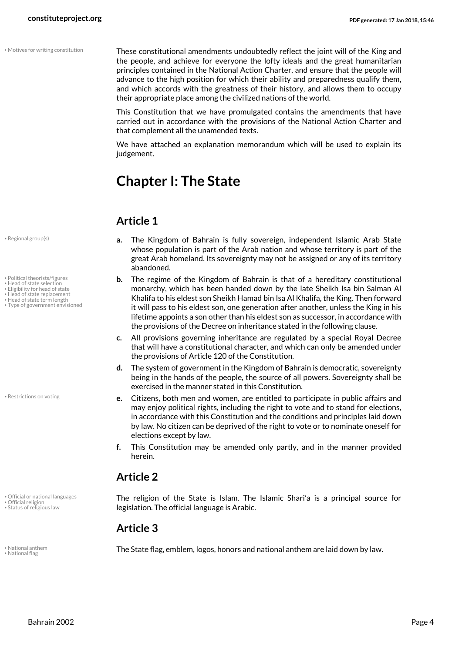• Motives for writing constitution

<span id="page-3-5"></span>These constitutional amendments undoubtedly reflect the joint will of the King and the people, and achieve for everyone the lofty ideals and the great humanitarian principles contained in the National Action Charter, and ensure that the people will advance to the high position for which their ability and preparedness qualify them, and which accords with the greatness of their history, and allows them to occupy their appropriate place among the civilized nations of the world.

This Constitution that we have promulgated contains the amendments that have carried out in accordance with the provisions of the National Action Charter and that complement all the unamended texts.

We have attached an explanation memorandum which will be used to explain its judgement.

# <span id="page-3-0"></span>**Chapter I: The State**

#### **Article 1**

<span id="page-3-11"></span>• Regional group(s)

- Political theorists/figures
- Head of state selection
- Eligibility for head of state • Head of state replacement
- Head of state term length
- Type of government envisioned

<span id="page-3-12"></span>• Restrictions on voting

• Official or national languages

<span id="page-3-13"></span><span id="page-3-9"></span>• Official religion • Status of religious law

<span id="page-3-7"></span>• National flag

<span id="page-3-6"></span>• National anthem **The State flag, emblem, logos, honors and national anthem are laid down by law.** • National flock

- **a.** The Kingdom of Bahrain is fully sovereign, independent Islamic Arab State whose population is part of the Arab nation and whose territory is part of the great Arab homeland. Its sovereignty may not be assigned or any of its territory abandoned.
- <span id="page-3-14"></span><span id="page-3-10"></span><span id="page-3-4"></span><span id="page-3-3"></span><span id="page-3-2"></span><span id="page-3-1"></span>**b.** The regime of the Kingdom of Bahrain is that of a hereditary constitutional monarchy, which has been handed down by the late Sheikh Isa bin Salman Al Khalifa to his eldest son Sheikh Hamad bin Isa Al Khalifa, the King. Then forward it will pass to his eldest son, one generation after another, unless the King in his lifetime appoints a son other than his eldest son as successor, in accordance with the provisions of the Decree on inheritance stated in the following clause.
- **c.** All provisions governing inheritance are regulated by a special Royal Decree that will have a constitutional character, and which can only be amended under the provisions of Article 120 of the Constitution.
- **d.** The system of government in the Kingdom of Bahrain is democratic, sovereignty being in the hands of the people, the source of all powers. Sovereignty shall be exercised in the manner stated in this Constitution.
- **e.** Citizens, both men and women, are entitled to participate in public affairs and may enjoy political rights, including the right to vote and to stand for elections, in accordance with this Constitution and the conditions and principles laid down by law. No citizen can be deprived of the right to vote or to nominate oneself for elections except by law.
- **f.** This Constitution may be amended only partly, and in the manner provided herein.

#### **Article 2**

<span id="page-3-8"></span>The religion of the State is Islam. The Islamic Shari'a is a principal source for legislation. The official language is Arabic.

#### **Article 3**

Bahrain 2002 Page 4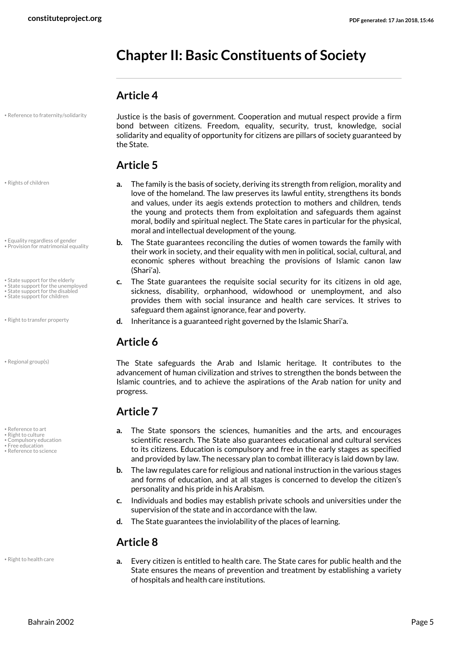# <span id="page-4-0"></span>**Chapter II: Basic Constituents of Society**

#### **Article 4**

• Reference to fraternity/solidarity

<span id="page-4-6"></span>Justice is the basis of government. Cooperation and mutual respect provide a firm bond between citizens. Freedom, equality, security, trust, knowledge, social solidarity and equality of opportunity for citizens are pillars of society guaranteed by the State.

#### **Article 5**

- **a.** The family is the basis of society, deriving its strength from religion, morality and love of the homeland. The law preserves its lawful entity, strengthens its bonds and values, under its aegis extends protection to mothers and children, tends the young and protects them from exploitation and safeguards them against moral, bodily and spiritual neglect. The State cares in particular for the physical, moral and intellectual development of the young.
- <span id="page-4-4"></span><span id="page-4-2"></span>**b.** The State guarantees reconciling the duties of women towards the family with their work in society, and their equality with men in political, social, cultural, and economic spheres without breaching the provisions of Islamic canon law (Shari'a).
- <span id="page-4-16"></span><span id="page-4-15"></span><span id="page-4-14"></span><span id="page-4-13"></span>**c.** The State guarantees the requisite social security for its citizens in old age, sickness, disability, orphanhood, widowhood or unemployment, and also provides them with social insurance and health care services. It strives to safeguard them against ignorance, fear and poverty.
- Right to transfer property **d.** Inheritance is a guaranteed right governed by the Islamic Shari'a.

#### <span id="page-4-11"></span>**Article 6**

The State safeguards the Arab and Islamic heritage. It contributes to the advancement of human civilization and strives to strengthen the bonds between the Islamic countries, and to achieve the aspirations of the Arab nation for unity and progress.

### **Article 7**

- **a.** The State sponsors the sciences, humanities and the arts, and encourages scientific research. The State also guarantees educational and cultural services to its citizens. Education is compulsory and free in the early stages as specified and provided by law. The necessary plan to combat illiteracy is laid down by law.
- **b.** The law regulates care for religious and national instruction in the various stages and forms of education, and at all stages is concerned to develop the citizen's personality and his pride in his Arabism.
- **c.** Individuals and bodies may establish private schools and universities under the supervision of the state and in accordance with the law.
- **d.** The State guarantees the inviolability of the places of learning.

#### **Article 8**

**a.** Every citizen is entitled to health care. The State cares for public health and the State ensures the means of prevention and treatment by establishing a variety of hospitals and health care institutions.

<span id="page-4-12"></span>• Rights of children

- Equality regardless of gender Provision for matrimonial equality
- 
- State support for the elderly • State support for the unemployed
- State support for the disabled
- State support for children

<span id="page-4-8"></span>• Regional group(s)

• Reference to art

- <span id="page-4-9"></span><span id="page-4-5"></span><span id="page-4-1"></span>
- Right to culture Compulsory education
- <span id="page-4-7"></span><span id="page-4-3"></span>• Free education • Reference to science

<span id="page-4-10"></span>• Right to health care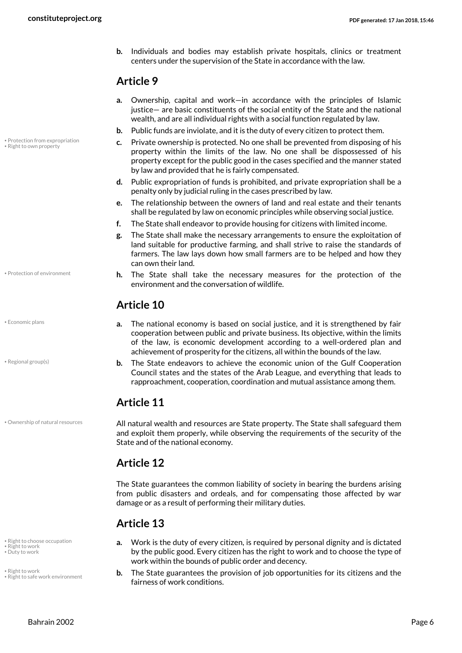**b.** Individuals and bodies may establish private hospitals, clinics or treatment centers under the supervision of the State in accordance with the law.

#### **Article 9**

- **a.** Ownership, capital and work—in accordance with the principles of Islamic justice— are basic constituents of the social entity of the State and the national wealth, and are all individual rights with a social function regulated by law.
- **b.** Public funds are inviolate, and it is the duty of every citizen to protect them.
- <span id="page-5-3"></span>**c.** Private ownership is protected. No one shall be prevented from disposing of his property within the limits of the law. No one shall be dispossessed of his property except for the public good in the cases specified and the manner stated by law and provided that he is fairly compensated.
- **d.** Public expropriation of funds is prohibited, and private expropriation shall be a penalty only by judicial ruling in the cases prescribed by law.
- **e.** The relationship between the owners of land and real estate and their tenants shall be regulated by law on economic principles while observing social justice.
- **f.** The State shall endeavor to provide housing for citizens with limited income.
- **g.** The State shall make the necessary arrangements to ensure the exploitation of land suitable for productive farming, and shall strive to raise the standards of farmers. The law lays down how small farmers are to be helped and how they can own their land.
- <span id="page-5-4"></span>**h.** The State shall take the necessary measures for the protection of the environment and the conversation of wildlife.

#### **Article 10**

- **a.** The national economy is based on social justice, and it is strengthened by fair cooperation between public and private business. Its objective, within the limits of the law, is economic development according to a well-ordered plan and achievement of prosperity for the citizens, all within the bounds of the law.
- **b.** The State endeavors to achieve the economic union of the Gulf Cooperation Council states and the states of the Arab League, and everything that leads to rapproachment, cooperation, coordination and mutual assistance among them.

#### **Article 11**

<span id="page-5-2"></span>All natural wealth and resources are State property. The State shall safeguard them and exploit them properly, while observing the requirements of the security of the State and of the national economy.

#### **Article 12**

The State guarantees the common liability of society in bearing the burdens arising from public disasters and ordeals, and for compensating those affected by war damage or as a result of performing their military duties.

### **Article 13**

- <span id="page-5-6"></span>**a.** Work is the duty of every citizen, is required by personal dignity and is dictated by the public good. Every citizen has the right to work and to choose the type of work within the bounds of public order and decency.
- <span id="page-5-8"></span>**b.** The State guarantees the provision of job opportunities for its citizens and the fairness of work conditions.

<span id="page-5-7"></span>• Protection from expropriation • Right to own property

• Protection of environment

<span id="page-5-1"></span>• Economic plans

<span id="page-5-5"></span>• Regional group(s)

• Ownership of natural resources

• Right to choose occupation **Right to work** 

<span id="page-5-0"></span>• Duty to work

<span id="page-5-9"></span>• Right to work • Right to safe work environment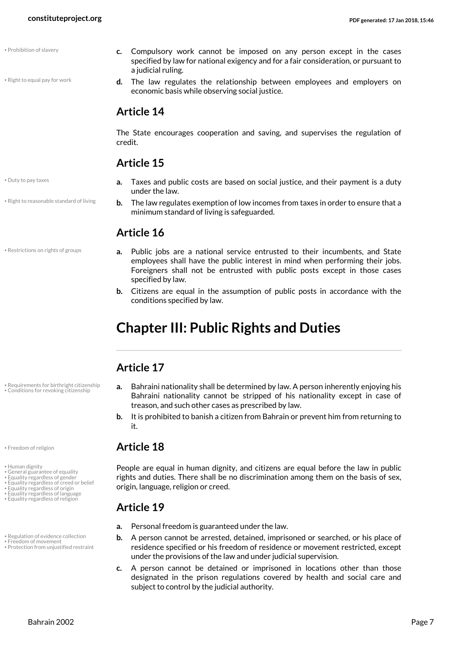• Right to equal pay for work

- <span id="page-6-12"></span>**c.** Compulsory work cannot be imposed on any person except in the cases specified by law for national exigency and for a fair consideration, or pursuant to a judicial ruling.
- <span id="page-6-17"></span>**d.** The law regulates the relationship between employees and employers on economic basis while observing social justice.

#### **Article 14**

The State encourages cooperation and saving, and supervises the regulation of credit.

#### **Article 15**

<span id="page-6-2"></span>• Duty to pay taxes

- Right to reasonable standard of living
- Restrictions on rights of groups

• Requirements for birthright citizenship • Conditions for revoking citizenship

- Human dignity
- <span id="page-6-11"></span>General guarantee of equality
- Equality regardless of gender • Equality regardless of creed or belief
- 
- Equality regardless of origin Equality regardless of language
- Equality regardless of religion
- Regulation of evidence collection
- Freedom of movemen • Protection from unjustified restraint
- **a.** Taxes and public costs are based on social justice, and their payment is a duty under the law.
- <span id="page-6-18"></span>**b.** The law regulates exemption of low incomes from taxes in order to ensure that a minimum standard of living is safeguarded.

#### **Article 16**

- <span id="page-6-16"></span>**a.** Public jobs are a national service entrusted to their incumbents, and State employees shall have the public interest in mind when performing their jobs. Foreigners shall not be entrusted with public posts except in those cases specified by law.
- **b.** Citizens are equal in the assumption of public posts in accordance with the conditions specified by law.

# <span id="page-6-0"></span>**Chapter III: Public Rights and Duties**

### **Article 17**

- <span id="page-6-15"></span><span id="page-6-1"></span>**a.** Bahraini nationality shall be determined by law. A person inherently enjoying his Bahraini nationality cannot be stripped of his nationality except in case of treason, and such other cases as prescribed by law.
- **b.** It is prohibited to banish a citizen from Bahrain or prevent him from returning to it.

#### <span id="page-6-9"></span>• Freedom of religion **Article 18**

<span id="page-6-10"></span><span id="page-6-4"></span><span id="page-6-3"></span>People are equal in human dignity, and citizens are equal before the law in public rights and duties. There shall be no discrimination among them on the basis of sex, origin, language, religion or creed.

#### <span id="page-6-7"></span><span id="page-6-6"></span><span id="page-6-5"></span>**Article 19**

- **a.** Personal freedom is guaranteed under the law.
- <span id="page-6-14"></span><span id="page-6-13"></span><span id="page-6-8"></span>**b.** A person cannot be arrested, detained, imprisoned or searched, or his place of residence specified or his freedom of residence or movement restricted, except under the provisions of the law and under judicial supervision.
- **c.** A person cannot be detained or imprisoned in locations other than those designated in the prison regulations covered by health and social care and subject to control by the judicial authority.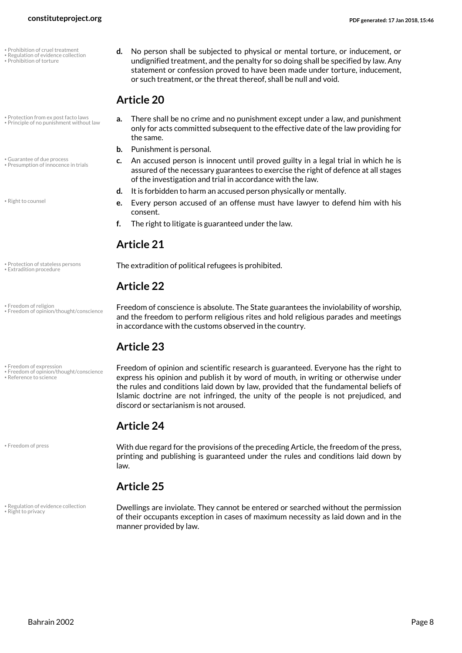- Prohibition of cruel treatment • Regulation of evidence collection
- Prohibition of torture
- <span id="page-7-9"></span>
- Protection from ex post facto laws • Principle of no punishment without law
- Guarantee of due process • Presumption of innocence in trials

<span id="page-7-14"></span>• Right to counsel

- Extradition procedure
- <span id="page-7-4"></span>• Freedom of religion • Freedom of opinion/thought/conscience
- Freedom of expression • Freedom of opinion/thought/conscience
- <span id="page-7-12"></span>• Reference to science

<span id="page-7-3"></span>• Freedom of press

<span id="page-7-15"></span>• Regulation of evidence collection • Right to privacy

<span id="page-7-8"></span>**d.** No person shall be subjected to physical or mental torture, or inducement, or undignified treatment, and the penalty for so doing shall be specified by law. Any statement or confession proved to have been made under torture, inducement, or such treatment, or the threat thereof, shall be null and void.

#### **Article 20**

- <span id="page-7-10"></span><span id="page-7-7"></span>**a.** There shall be no crime and no punishment except under a law, and punishment only for acts committed subsequent to the effective date of the law providing for the same.
- **b.** Punishment is personal.
- <span id="page-7-6"></span><span id="page-7-5"></span>**c.** An accused person is innocent until proved guilty in a legal trial in which he is assured of the necessary guarantees to exercise the right of defence at all stages of the investigation and trial in accordance with the law.
- **d.** It is forbidden to harm an accused person physically or mentally.
- **e.** Every person accused of an offense must have lawyer to defend him with his consent.
- **f.** The right to litigate is guaranteed under the law.

#### **Article 21**

<span id="page-7-0"></span>• Protection of stateless persons **The extradition of political refugees is prohibited.** 

#### <span id="page-7-11"></span>**Article 22**

Freedom of conscience is absolute. The State guarantees the inviolability of worship, and the freedom to perform religious rites and hold religious parades and meetings in accordance with the customs observed in the country.

### **Article 23**

<span id="page-7-2"></span><span id="page-7-1"></span>Freedom of opinion and scientific research is guaranteed. Everyone has the right to express his opinion and publish it by word of mouth, in writing or otherwise under the rules and conditions laid down by law, provided that the fundamental beliefs of Islamic doctrine are not infringed, the unity of the people is not prejudiced, and discord or sectarianism is not aroused.

#### **Article 24**

With due regard for the provisions of the preceding Article, the freedom of the press, printing and publishing is guaranteed under the rules and conditions laid down by law.

#### **Article 25**

<span id="page-7-13"></span>Dwellings are inviolate. They cannot be entered or searched without the permission of their occupants exception in cases of maximum necessity as laid down and in the manner provided by law.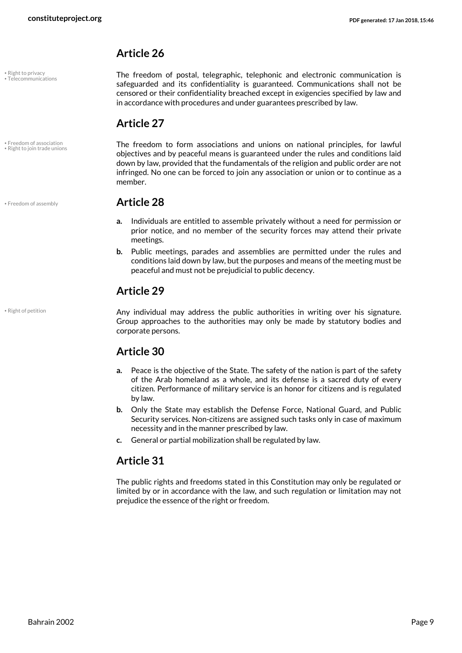<span id="page-8-5"></span><span id="page-8-4"></span>• Right to privacy • Telecommunications The freedom of postal, telegraphic, telephonic and electronic communication is safeguarded and its confidentiality is guaranteed. Communications shall not be censored or their confidentiality breached except in exigencies specified by law and in accordance with procedures and under guarantees prescribed by law.

#### **Article 27**

• Freedom of association • Right to join trade unions

<span id="page-8-0"></span>

<span id="page-8-2"></span>• Right of petition

<span id="page-8-3"></span><span id="page-8-1"></span>The freedom to form associations and unions on national principles, for lawful objectives and by peaceful means is guaranteed under the rules and conditions laid down by law, provided that the fundamentals of the religion and public order are not infringed. No one can be forced to join any association or union or to continue as a member.

#### • Freedom of assembly **Article 28**

- **a.** Individuals are entitled to assemble privately without a need for permission or prior notice, and no member of the security forces may attend their private meetings.
- **b.** Public meetings, parades and assemblies are permitted under the rules and conditions laid down by law, but the purposes and means of the meeting must be peaceful and must not be prejudicial to public decency.

### **Article 29**

Any individual may address the public authorities in writing over his signature. Group approaches to the authorities may only be made by statutory bodies and corporate persons.

### **Article 30**

- **a.** Peace is the objective of the State. The safety of the nation is part of the safety of the Arab homeland as a whole, and its defense is a sacred duty of every citizen. Performance of military service is an honor for citizens and is regulated by law.
- **b.** Only the State may establish the Defense Force, National Guard, and Public Security services. Non-citizens are assigned such tasks only in case of maximum necessity and in the manner prescribed by law.
- **c.** General or partial mobilization shall be regulated by law.

### **Article 31**

The public rights and freedoms stated in this Constitution may only be regulated or limited by or in accordance with the law, and such regulation or limitation may not prejudice the essence of the right or freedom.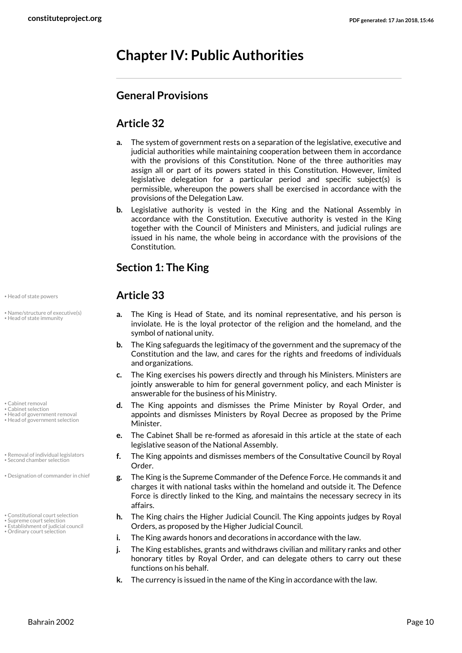# <span id="page-9-0"></span>**Chapter IV: Public Authorities**

#### **General Provisions**

#### **Article 32**

- **a.** The system of government rests on a separation of the legislative, executive and judicial authorities while maintaining cooperation between them in accordance with the provisions of this Constitution. None of the three authorities may assign all or part of its powers stated in this Constitution. However, limited legislative delegation for a particular period and specific subject(s) is permissible, whereupon the powers shall be exercised in accordance with the provisions of the Delegation Law.
- **b.** Legislative authority is vested in the King and the National Assembly in accordance with the Constitution. Executive authority is vested in the King together with the Council of Ministers and Ministers, and judicial rulings are issued in his name, the whole being in accordance with the provisions of the Constitution.

#### <span id="page-9-1"></span>**Section 1: The King**

#### • Head of state powers **Article 33**

- <span id="page-9-11"></span><span id="page-9-9"></span>**a.** The King is Head of State, and its nominal representative, and his person is inviolate. He is the loyal protector of the religion and the homeland, and the symbol of national unity.
- **b.** The King safeguards the legitimacy of the government and the supremacy of the Constitution and the law, and cares for the rights and freedoms of individuals and organizations.
- **c.** The King exercises his powers directly and through his Ministers. Ministers are jointly answerable to him for general government policy, and each Minister is answerable for the business of his Ministry.
- <span id="page-9-8"></span><span id="page-9-7"></span>**d.** The King appoints and dismisses the Prime Minister by Royal Order, and appoints and dismisses Ministers by Royal Decree as proposed by the Prime Minister.
- **e.** The Cabinet Shall be re-formed as aforesaid in this article at the state of each legislative season of the National Assembly.
- <span id="page-9-14"></span><span id="page-9-13"></span>**f.** The King appoints and dismisses members of the Consultative Council by Royal Order.
- <span id="page-9-5"></span>**g.** The King is the Supreme Commander of the Defence Force. He commands it and charges it with national tasks within the homeland and outside it. The Defence Force is directly linked to the King, and maintains the necessary secrecy in its affairs.
- <span id="page-9-15"></span><span id="page-9-6"></span><span id="page-9-4"></span>**h.** The King chairs the Higher Judicial Council. The King appoints judges by Royal Orders, as proposed by the Higher Judicial Council.
- <span id="page-9-12"></span>**i.** The King awards honors and decorations in accordance with the law.
- **j.** The King establishes, grants and withdraws civilian and military ranks and other honorary titles by Royal Order, and can delegate others to carry out these functions on his behalf.
- **k.** The currency is issued in the name of the King in accordance with the law.

<span id="page-9-10"></span>

• Name/structure of executive(s) • Head of state immunity

<span id="page-9-2"></span>• Cabinet removal

<span id="page-9-3"></span>• Cabinet selection

• Head of government removal • Head of government selection

• Removal of individual legislators • Second chamber selection

• Designation of commander in chief

- Constitutional court selection
- Supreme court selection • Establishment of judicial council
- Ordinary court selection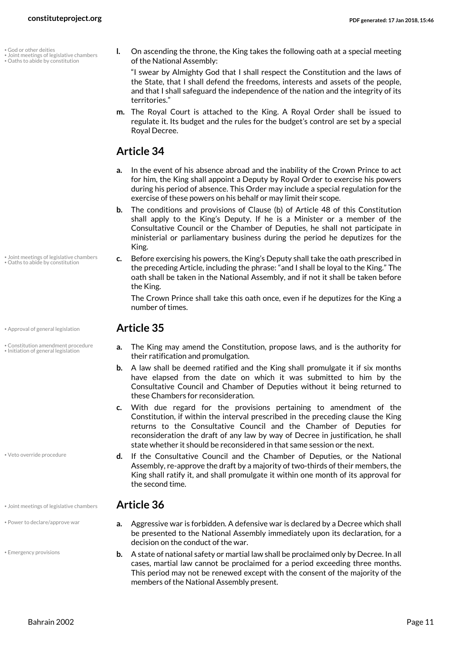<span id="page-10-3"></span>• God or other deities

- Joint meetings of legislative chambers Oaths to abide by constitution
- 

**l.** On ascending the throne, the King takes the following oath at a special meeting of the National Assembly:

"I swear by Almighty God that I shall respect the Constitution and the laws of the State, that I shall defend the freedoms, interests and assets of the people, and that I shall safeguard the independence of the nation and the integrity of its territories."

**m.** The Royal Court is attached to the King. A Royal Order shall be issued to regulate it. Its budget and the rules for the budget's control are set by a special Royal Decree.

#### **Article 34**

- **a.** In the event of his absence abroad and the inability of the Crown Prince to act for him, the King shall appoint a Deputy by Royal Order to exercise his powers during his period of absence. This Order may include a special regulation for the exercise of these powers on his behalf or may limit their scope.
- **b.** The conditions and provisions of Clause (b) of Article 48 of this Constitution shall apply to the King's Deputy. If he is a Minister or a member of the Consultative Council or the Chamber of Deputies, he shall not participate in ministerial or parliamentary business during the period he deputizes for the King.
- <span id="page-10-6"></span>**c.** Before exercising his powers, the King's Deputy shall take the oath prescribed in the preceding Article, including the phrase: "and I shall be loyal to the King." The oath shall be taken in the National Assembly, and if not it shall be taken before the King.

The Crown Prince shall take this oath once, even if he deputizes for the King a number of times.

- <span id="page-10-4"></span><span id="page-10-1"></span><span id="page-10-0"></span>**a.** The King may amend the Constitution, propose laws, and is the authority for their ratification and promulgation.
- **b.** A law shall be deemed ratified and the King shall promulgate it if six months have elapsed from the date on which it was submitted to him by the Consultative Council and Chamber of Deputies without it being returned to these Chambers for reconsideration.
- **c.** With due regard for the provisions pertaining to amendment of the Constitution, if within the interval prescribed in the preceding clause the King returns to the Consultative Council and the Chamber of Deputies for reconsideration the draft of any law by way of Decree in justification, he shall state whether it should be reconsidered in that same session or the next.
- <span id="page-10-8"></span>**d.** If the Consultative Council and the Chamber of Deputies, or the National Assembly, re-approve the draft by a majority of two-thirds of their members, the King shall ratify it, and shall promulgate it within one month of its approval for the second time.

- <span id="page-10-7"></span><span id="page-10-5"></span>**a.** Aggressive war is forbidden. A defensive war is declared by a Decree which shall be presented to the National Assembly immediately upon its declaration, for a decision on the conduct of the war.
- **b.** A state of national safety or martial law shall be proclaimed only by Decree. In all cases, martial law cannot be proclaimed for a period exceeding three months. This period may not be renewed except with the consent of the majority of the members of the National Assembly present.

• Joint meetings of legislative chambers • Oaths to abide by constitution

• Approval of general legislation **Article 35**

• Constitution amendment procedure • Initiation of general legislation

• Veto override procedure

• Joint meetings of legislative chambers **Article 36**

• Power to declare/approve war

<span id="page-10-2"></span>• Emergency provisions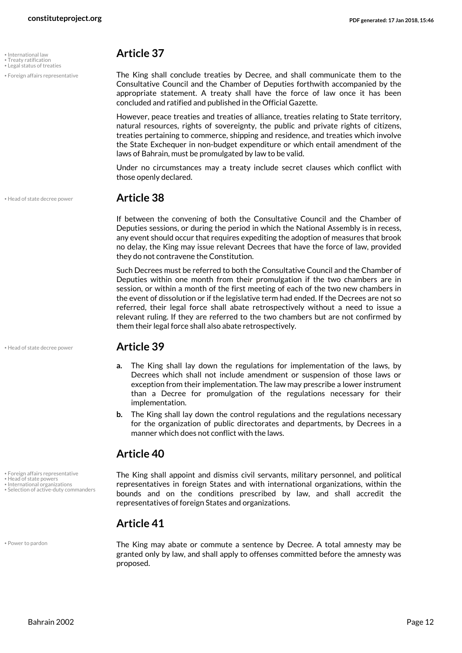- 
- 
- <span id="page-11-8"></span>• Legal status of treaties
- Foreign affairs representative

# <span id="page-11-3"></span>• International law **Article 37** • Treaty ratification

<span id="page-11-5"></span>The King shall conclude treaties by Decree, and shall communicate them to the Consultative Council and the Chamber of Deputies forthwith accompanied by the appropriate statement. A treaty shall have the force of law once it has been concluded and ratified and published in the Official Gazette.

However, peace treaties and treaties of alliance, treaties relating to State territory, natural resources, rights of sovereignty, the public and private rights of citizens, treaties pertaining to commerce, shipping and residence, and treaties which involve the State Exchequer in non-budget expenditure or which entail amendment of the laws of Bahrain, must be promulgated by law to be valid.

Under no circumstances may a treaty include secret clauses which conflict with those openly declared.

#### • Head of state decree power **Article 38**

If between the convening of both the Consultative Council and the Chamber of Deputies sessions, or during the period in which the National Assembly is in recess, any event should occur that requires expediting the adoption of measures that brook no delay, the King may issue relevant Decrees that have the force of law, provided they do not contravene the Constitution.

Such Decrees must be referred to both the Consultative Council and the Chamber of Deputies within one month from their promulgation if the two chambers are in session, or within a month of the first meeting of each of the two new chambers in the event of dissolution or if the legislative term had ended. If the Decrees are not so referred, their legal force shall abate retrospectively without a need to issue a relevant ruling. If they are referred to the two chambers but are not confirmed by them their legal force shall also abate retrospectively.

#### • Head of state decree power **Article 39**

- <span id="page-11-1"></span>**a.** The King shall lay down the regulations for implementation of the laws, by Decrees which shall not include amendment or suspension of those laws or exception from their implementation. The law may prescribe a lower instrument than a Decree for promulgation of the regulations necessary for their implementation.
- **b.** The King shall lay down the control regulations and the regulations necessary for the organization of public directorates and departments, by Decrees in a manner which does not conflict with the laws.

#### **Article 40**

<span id="page-11-2"></span>• Foreign affairs representative • Head of state powers

- International organizations
- Selection of active-duty commanders

<span id="page-11-7"></span><span id="page-11-4"></span><span id="page-11-0"></span>The King shall appoint and dismiss civil servants, military personnel, and political representatives in foreign States and with international organizations, within the bounds and on the conditions prescribed by law, and shall accredit the representatives of foreign States and organizations.

#### **Article 41**

<span id="page-11-6"></span>• Power to pardon

The King may abate or commute a sentence by Decree. A total amnesty may be granted only by law, and shall apply to offenses committed before the amnesty was proposed.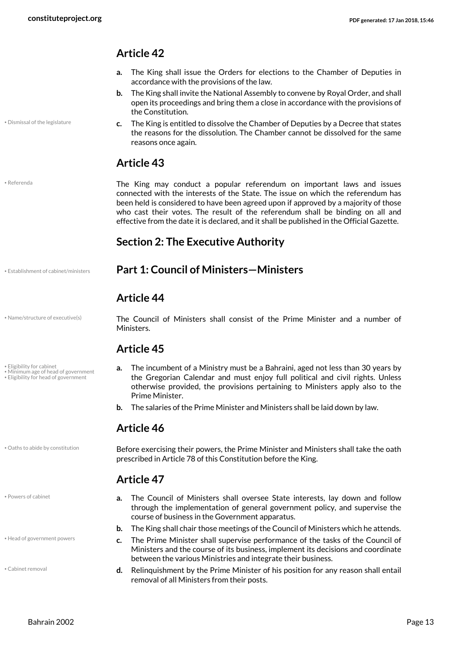- **a.** The King shall issue the Orders for elections to the Chamber of Deputies in accordance with the provisions of the law.
- **b.** The King shall invite the National Assembly to convene by Royal Order, and shall open its proceedings and bring them a close in accordance with the provisions of the Constitution.
- <span id="page-12-3"></span>**c.** The King is entitled to dissolve the Chamber of Deputies by a Decree that states the reasons for the dissolution. The Chamber cannot be dissolved for the same reasons once again.

#### **Article 43**

The King may conduct a popular referendum on important laws and issues connected with the interests of the State. The issue on which the referendum has been held is considered to have been agreed upon if approved by a majority of those who cast their votes. The result of the referendum shall be binding on all and effective from the date it is declared, and it shall be published in the Official Gazette.

#### <span id="page-12-1"></span><span id="page-12-0"></span>**Section 2: The Executive Authority**

• Establishment of cabinet/ministers **Part 1: Council of Ministers—Ministers**

# <span id="page-12-6"></span>**Article 44**

• Name/structure of executive(s)

• Dismissal of the legislature

<span id="page-12-12"></span>• Referenda

• Eligibility for cabinet

• Minimum age of head of government • Eligibility for head of government

<span id="page-12-4"></span>

• Oaths to abide by constitution

<span id="page-12-11"></span>• Powers of cabinet

• Head of government powers

<span id="page-12-2"></span>• Cabinet removal

<span id="page-12-9"></span>The Council of Ministers shall consist of the Prime Minister and a number of Ministers.

#### **Article 45**

- <span id="page-12-8"></span><span id="page-12-5"></span>**a.** The incumbent of a Ministry must be a Bahraini, aged not less than 30 years by the Gregorian Calendar and must enjoy full political and civil rights. Unless otherwise provided, the provisions pertaining to Ministers apply also to the Prime Minister.
- **b.** The salaries of the Prime Minister and Ministers shall be laid down by law.

#### **Article 46**

<span id="page-12-10"></span>Before exercising their powers, the Prime Minister and Ministers shall take the oath prescribed in Article 78 of this Constitution before the King.

#### **Article 47**

- **a.** The Council of Ministers shall oversee State interests, lay down and follow through the implementation of general government policy, and supervise the course of business in the Government apparatus.
- **b.** The King shall chair those meetings of the Council of Ministers which he attends.
- <span id="page-12-7"></span>**c.** The Prime Minister shall supervise performance of the tasks of the Council of Ministers and the course of its business, implement its decisions and coordinate between the various Ministries and integrate their business.
- **d.** Relinquishment by the Prime Minister of his position for any reason shall entail removal of all Ministers from their posts.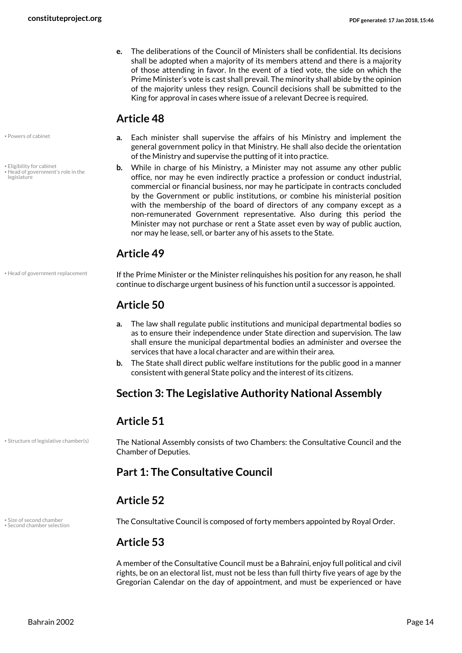**e.** The deliberations of the Council of Ministers shall be confidential. Its decisions shall be adopted when a majority of its members attend and there is a majority of those attending in favor. In the event of a tied vote, the side on which the Prime Minister's vote is cast shall prevail. The minority shall abide by the opinion of the majority unless they resign. Council decisions shall be submitted to the King for approval in cases where issue of a relevant Decree is required.

#### **Article 48**

• Powers of cabinet

<span id="page-13-4"></span><span id="page-13-2"></span>legislature

- Eligibility for cabinet • Head of government's role in the
- **a.** Each minister shall supervise the affairs of his Ministry and implement the general government policy in that Ministry. He shall also decide the orientation of the Ministry and supervise the putting of it into practice.
- **b.** While in charge of his Ministry, a Minister may not assume any other public office, nor may he even indirectly practice a profession or conduct industrial, commercial or financial business, nor may he participate in contracts concluded by the Government or public institutions, or combine his ministerial position with the membership of the board of directors of any company except as a non-remunerated Government representative. Also during this period the Minister may not purchase or rent a State asset even by way of public auction, nor may he lease, sell, or barter any of his assets to the State.

#### **Article 49**

• Head of government replacement

<span id="page-13-3"></span>If the Prime Minister or the Minister relinquishes his position for any reason, he shall continue to discharge urgent business of his function until a successor is appointed.

### **Article 50**

- **a.** The law shall regulate public institutions and municipal departmental bodies so as to ensure their independence under State direction and supervision. The law shall ensure the municipal departmental bodies an administer and oversee the services that have a local character and are within their area.
- **b.** The State shall direct public welfare institutions for the public good in a manner consistent with general State policy and the interest of its citizens.

### <span id="page-13-0"></span>**Section 3: The Legislative Authority National Assembly**

### **Article 51**

• Structure of legislative chamber(s)

<span id="page-13-8"></span>The National Assembly consists of two Chambers: the Consultative Council and the Chamber of Deputies.

#### <span id="page-13-1"></span>**Part 1: The Consultative Council**

#### **Article 52**

• Second chamber selection

<span id="page-13-7"></span>Size of second chamber<br>Size of second chamber<br>Second chamber colorian

#### <span id="page-13-6"></span>**Article 53**

A member of the Consultative Council must be a Bahraini, enjoy full political and civil rights, be on an electoral list, must not be less than full thirty five years of age by the Gregorian Calendar on the day of appointment, and must be experienced or have

<span id="page-13-5"></span>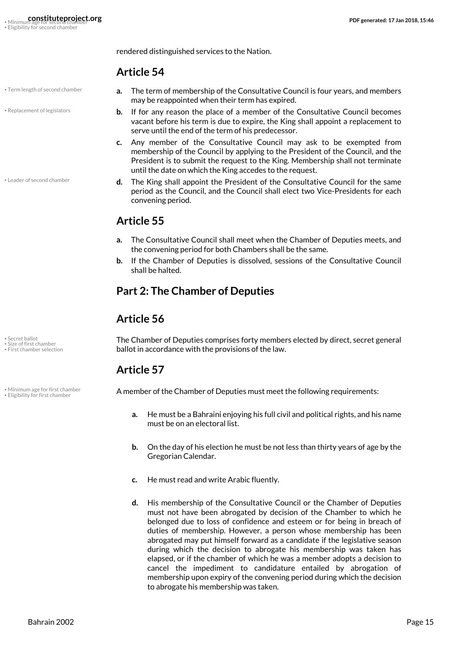<span id="page-14-6"></span><span id="page-14-2"></span>rendered distinguished services to the Nation.

#### **Article 54**

• Term length of second chamber

• Replacement of legislators

• Leader of second chamber

<span id="page-14-9"></span><span id="page-14-8"></span>• Secret ballot • Size of first chamber

• First chamber selection

• Eligibility for first chamber

#### <span id="page-14-10"></span>**a.** The term of membership of the Consultative Council is four years, and members may be reappointed when their term has expired.

- <span id="page-14-7"></span>**b.** If for any reason the place of a member of the Consultative Council becomes vacant before his term is due to expire, the King shall appoint a replacement to serve until the end of the term of his predecessor.
- **c.** Any member of the Consultative Council may ask to be exempted from membership of the Council by applying to the President of the Council, and the President is to submit the request to the King. Membership shall not terminate until the date on which the King accedes to the request.
- <span id="page-14-4"></span>**d.** The King shall appoint the President of the Consultative Council for the same period as the Council, and the Council shall elect two Vice-Presidents for each convening period.

#### **Article 55**

- **a.** The Consultative Council shall meet when the Chamber of Deputies meets, and the convening period for both Chambers shall be the same.
- **b.** If the Chamber of Deputies is dissolved, sessions of the Consultative Council shall be halted.

#### <span id="page-14-0"></span>**Part 2: The Chamber of Deputies**

#### **Article 56**

<span id="page-14-3"></span>The Chamber of Deputies comprises forty members elected by direct, secret general ballot in accordance with the provisions of the law.

#### <span id="page-14-5"></span><span id="page-14-1"></span>**Article 57**

Minimum age for first chamber **A member of the Chamber of Deputies must meet the following requirements:** 

- **a.** He must be a Bahraini enjoying his full civil and political rights, and his name must be on an electoral list.
- **b.** On the day of his election he must be not less than thirty years of age by the Gregorian Calendar.
- **c.** He must read and write Arabic fluently.
- **d.** His membership of the Consultative Council or the Chamber of Deputies must not have been abrogated by decision of the Chamber to which he belonged due to loss of confidence and esteem or for being in breach of duties of membership. However, a person whose membership has been abrogated may put himself forward as a candidate if the legislative season during which the decision to abrogate his membership was taken has elapsed, or if the chamber of which he was a member adopts a decision to cancel the impediment to candidature entailed by abrogation of membership upon expiry of the convening period during which the decision to abrogate his membership was taken.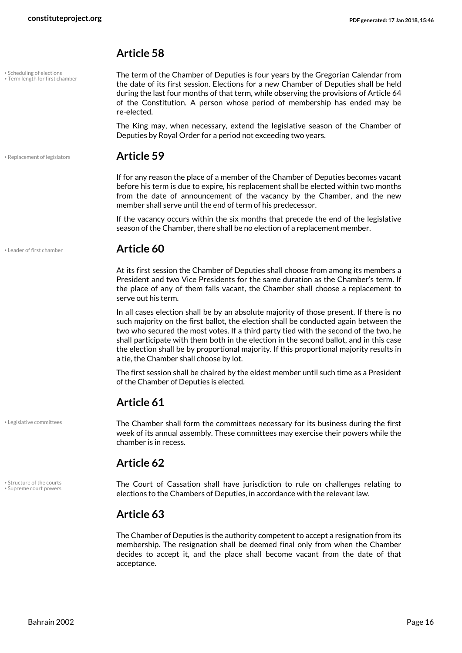• Scheduling of elections • Term length for first chamber <span id="page-15-6"></span><span id="page-15-3"></span>The term of the Chamber of Deputies is four years by the Gregorian Calendar from the date of its first session. Elections for a new Chamber of Deputies shall be held during the last four months of that term, while observing the provisions of Article 64 of the Constitution. A person whose period of membership has ended may be re-elected.

The King may, when necessary, extend the legislative season of the Chamber of Deputies by Royal Order for a period not exceeding two years.

• Replacement of legislators **Article 59**

<span id="page-15-2"></span>If for any reason the place of a member of the Chamber of Deputies becomes vacant before his term is due to expire, his replacement shall be elected within two months from the date of announcement of the vacancy by the Chamber, and the new member shall serve until the end of term of his predecessor.

If the vacancy occurs within the six months that precede the end of the legislative season of the Chamber, there shall be no election of a replacement member.

#### • Leader of first chamber **Article 60**

<span id="page-15-0"></span>At its first session the Chamber of Deputies shall choose from among its members a President and two Vice Presidents for the same duration as the Chamber's term. If the place of any of them falls vacant, the Chamber shall choose a replacement to serve out his term.

In all cases election shall be by an absolute majority of those present. If there is no such majority on the first ballot, the election shall be conducted again between the two who secured the most votes. If a third party tied with the second of the two, he shall participate with them both in the election in the second ballot, and in this case the election shall be by proportional majority. If this proportional majority results in a tie, the Chamber shall choose by lot.

The first session shall be chaired by the eldest member until such time as a President of the Chamber of Deputies is elected.

#### **Article 61**

<span id="page-15-1"></span>The Chamber shall form the committees necessary for its business during the first week of its annual assembly. These committees may exercise their powers while the chamber is in recess.

#### **Article 62**

<span id="page-15-5"></span><span id="page-15-4"></span>The Court of Cassation shall have jurisdiction to rule on challenges relating to elections to the Chambers of Deputies, in accordance with the relevant law.

#### **Article 63**

The Chamber of Deputies is the authority competent to accept a resignation from its membership. The resignation shall be deemed final only from when the Chamber decides to accept it, and the place shall become vacant from the date of that acceptance.

• Legislative committees

• Structure of the courts • Supreme court powers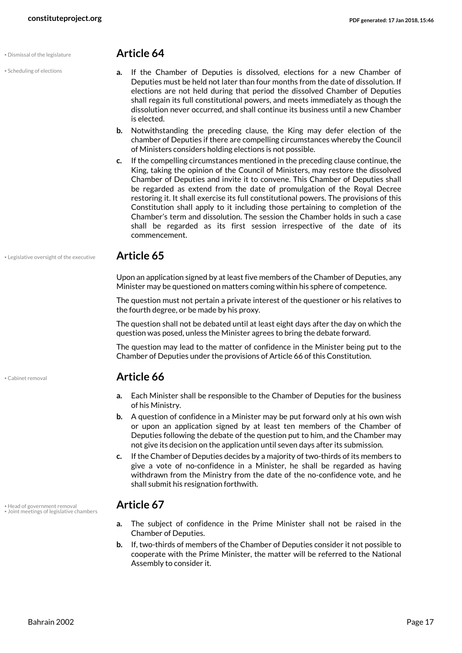• Dismissal of the legislature **Article 64**

• Scheduling of elections

- <span id="page-16-5"></span><span id="page-16-1"></span>**a.** If the Chamber of Deputies is dissolved, elections for a new Chamber of Deputies must be held not later than four months from the date of dissolution. If elections are not held during that period the dissolved Chamber of Deputies shall regain its full constitutional powers, and meets immediately as though the dissolution never occurred, and shall continue its business until a new Chamber is elected.
- **b.** Notwithstanding the preceding clause, the King may defer election of the chamber of Deputies if there are compelling circumstances whereby the Council of Ministers considers holding elections is not possible.
- **c.** If the compelling circumstances mentioned in the preceding clause continue, the King, taking the opinion of the Council of Ministers, may restore the dissolved Chamber of Deputies and invite it to convene. This Chamber of Deputies shall be regarded as extend from the date of promulgation of the Royal Decree restoring it. It shall exercise its full constitutional powers. The provisions of this Constitution shall apply to it including those pertaining to completion of the Chamber's term and dissolution. The session the Chamber holds in such a case shall be regarded as its first session irrespective of the date of its commencement.

#### • Legislative oversight of the executive **Article 65**

<span id="page-16-4"></span>Upon an application signed by at least five members of the Chamber of Deputies, any Minister may be questioned on matters coming within his sphere of competence.

The question must not pertain a private interest of the questioner or his relatives to the fourth degree, or be made by his proxy.

The question shall not be debated until at least eight days after the day on which the question was posed, unless the Minister agrees to bring the debate forward.

The question may lead to the matter of confidence in the Minister being put to the Chamber of Deputies under the provisions of Article 66 of this Constitution.

#### <span id="page-16-0"></span>• Cabinet removal **Article 66**

- **a.** Each Minister shall be responsible to the Chamber of Deputies for the business of his Ministry.
- **b.** A question of confidence in a Minister may be put forward only at his own wish or upon an application signed by at least ten members of the Chamber of Deputies following the debate of the question put to him, and the Chamber may not give its decision on the application until seven days after its submission.
- **c.** If the Chamber of Deputies decides by a majority of two-thirds of its members to give a vote of no-confidence in a Minister, he shall be regarded as having withdrawn from the Ministry from the date of the no-confidence vote, and he shall submit his resignation forthwith.

- <span id="page-16-3"></span><span id="page-16-2"></span>**a.** The subject of confidence in the Prime Minister shall not be raised in the Chamber of Deputies.
- **b.** If, two-thirds of members of the Chamber of Deputies consider it not possible to cooperate with the Prime Minister, the matter will be referred to the National Assembly to consider it.

• Head of government removal **Article 67** • Joint meetings of legislative chambers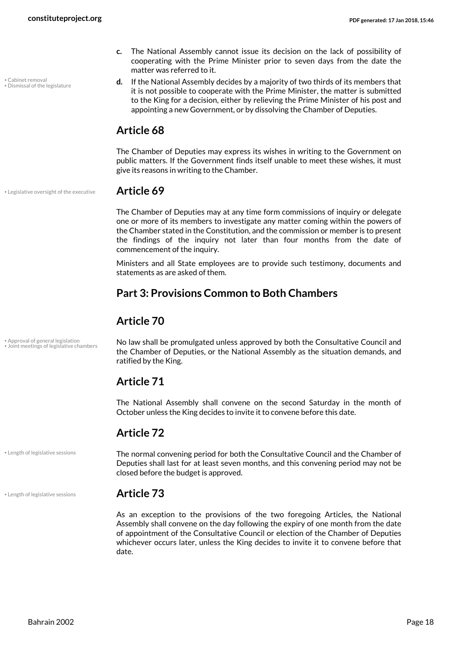<span id="page-17-2"></span>• Cabinet removal • Dismissal of the legislature

- **c.** The National Assembly cannot issue its decision on the lack of possibility of cooperating with the Prime Minister prior to seven days from the date the matter was referred to it.
- <span id="page-17-3"></span>**d.** If the National Assembly decides by a majority of two thirds of its members that it is not possible to cooperate with the Prime Minister, the matter is submitted to the King for a decision, either by relieving the Prime Minister of his post and appointing a new Government, or by dissolving the Chamber of Deputies.

#### **Article 68**

The Chamber of Deputies may express its wishes in writing to the Government on public matters. If the Government finds itself unable to meet these wishes, it must give its reasons in writing to the Chamber.

#### • Legislative oversight of the executive **Article 69**

<span id="page-17-5"></span>The Chamber of Deputies may at any time form commissions of inquiry or delegate one or more of its members to investigate any matter coming within the powers of the Chamber stated in the Constitution, and the commission or member is to present the findings of the inquiry not later than four months from the date of commencement of the inquiry.

Ministers and all State employees are to provide such testimony, documents and statements as are asked of them.

#### <span id="page-17-0"></span>**Part 3: Provisions Common to Both Chambers**

#### **Article 70**

• Approval of general legislation • Joint meetings of legislative chambers

<span id="page-17-4"></span><span id="page-17-1"></span>No law shall be promulgated unless approved by both the Consultative Council and the Chamber of Deputies, or the National Assembly as the situation demands, and ratified by the King.

#### **Article 71**

The National Assembly shall convene on the second Saturday in the month of October unless the King decides to invite it to convene before this date.

#### **Article 72**

• Length of legislative sessions

The normal convening period for both the Consultative Council and the Chamber of Deputies shall last for at least seven months, and this convening period may not be closed before the budget is approved.

#### • Length of legislative sessions **Article 73**

<span id="page-17-6"></span>As an exception to the provisions of the two foregoing Articles, the National Assembly shall convene on the day following the expiry of one month from the date of appointment of the Consultative Council or election of the Chamber of Deputies whichever occurs later, unless the King decides to invite it to convene before that date.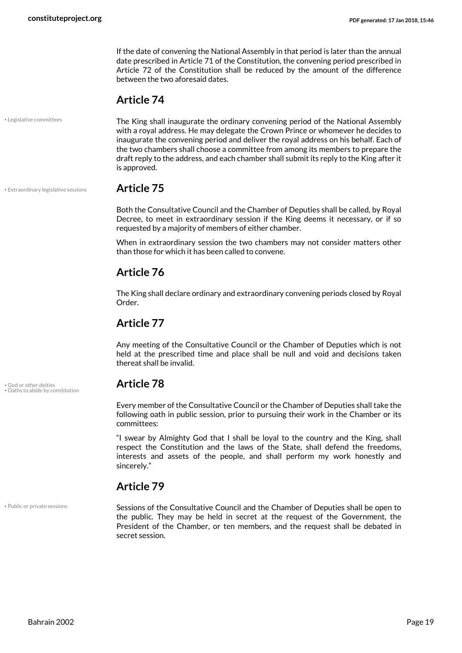If the date of convening the National Assembly in that period is later than the annual date prescribed in Article 71 of the Constitution, the convening period prescribed in Article 72 of the Constitution shall be reduced by the amount of the difference between the two aforesaid dates.

#### **Article 74**

• Legislative committees

<span id="page-18-2"></span>The King shall inaugurate the ordinary convening period of the National Assembly with a royal address. He may delegate the Crown Prince or whomever he decides to inaugurate the convening period and deliver the royal address on his behalf. Each of the two chambers shall choose a committee from among its members to prepare the draft reply to the address, and each chamber shall submit its reply to the King after it is approved.

• Extraordinary legislative sessions **Article 75**

<span id="page-18-0"></span>Both the Consultative Council and the Chamber of Deputies shall be called, by Royal Decree, to meet in extraordinary session if the King deems it necessary, or if so requested by a majority of members of either chamber.

When in extraordinary session the two chambers may not consider matters other than those for which it has been called to convene.

#### **Article 76**

The King shall declare ordinary and extraordinary convening periods closed by Royal Order.

#### **Article 77**

Any meeting of the Consultative Council or the Chamber of Deputies which is not held at the prescribed time and place shall be null and void and decisions taken thereat shall be invalid.

# <span id="page-18-1"></span>• God or other deities **Article 78** • Oaths to abide by constitution

<span id="page-18-3"></span>Every member of the Consultative Council or the Chamber of Deputies shall take the following oath in public session, prior to pursuing their work in the Chamber or its committees:

"I swear by Almighty God that I shall be loyal to the country and the King, shall respect the Constitution and the laws of the State, shall defend the freedoms, interests and assets of the people, and shall perform my work honestly and sincerely."

• Public or private sessions

#### **Article 79**

<span id="page-18-4"></span>Sessions of the Consultative Council and the Chamber of Deputies shall be open to the public. They may be held in secret at the request of the Government, the President of the Chamber, or ten members, and the request shall be debated in secret session.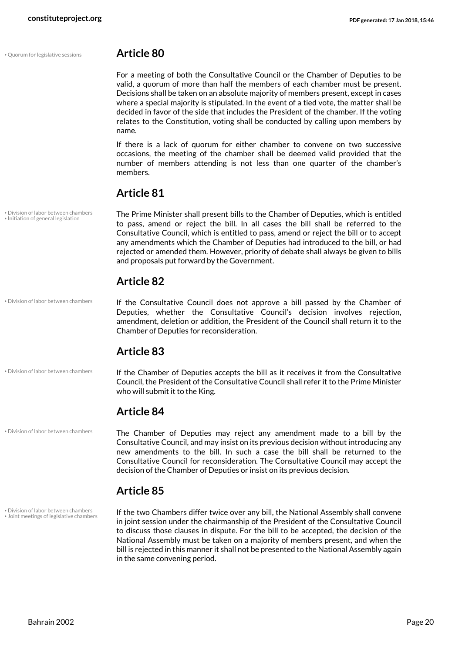• Quorum for legislative sessions **Article 80**

<span id="page-19-3"></span>For a meeting of both the Consultative Council or the Chamber of Deputies to be valid, a quorum of more than half the members of each chamber must be present. Decisions shall be taken on an absolute majority of members present, except in cases where a special majority is stipulated. In the event of a tied vote, the matter shall be decided in favor of the side that includes the President of the chamber. If the voting relates to the Constitution, voting shall be conducted by calling upon members by name.

If there is a lack of quorum for either chamber to convene on two successive occasions, the meeting of the chamber shall be deemed valid provided that the number of members attending is not less than one quarter of the chamber's members.

#### **Article 81**

• Division of labor between chambers • Initiation of general legislation

<span id="page-19-1"></span>The Prime Minister shall present bills to the Chamber of Deputies, which is entitled to pass, amend or reject the bill. In all cases the bill shall be referred to the Consultative Council, which is entitled to pass, amend or reject the bill or to accept any amendments which the Chamber of Deputies had introduced to the bill, or had rejected or amended them. However, priority of debate shall always be given to bills and proposals put forward by the Government.

#### **Article 82**

• Division of labor between chambers

If the Consultative Council does not approve a bill passed by the Chamber of Deputies, whether the Consultative Council's decision involves rejection, amendment, deletion or addition, the President of the Council shall return it to the Chamber of Deputies for reconsideration.

#### **Article 83**

• Division of labor between chambers

If the Chamber of Deputies accepts the bill as it receives it from the Consultative Council, the President of the Consultative Council shall refer it to the Prime Minister who will submit it to the King.

#### **Article 84**

• Division of labor between chambers

The Chamber of Deputies may reject any amendment made to a bill by the Consultative Council, and may insist on its previous decision without introducing any new amendments to the bill. In such a case the bill shall be returned to the Consultative Council for reconsideration. The Consultative Council may accept the decision of the Chamber of Deputies or insist on its previous decision.

### **Article 85**

<span id="page-19-2"></span><span id="page-19-0"></span>If the two Chambers differ twice over any bill, the National Assembly shall convene in joint session under the chairmanship of the President of the Consultative Council to discuss those clauses in dispute. For the bill to be accepted, the decision of the National Assembly must be taken on a majority of members present, and when the bill is rejected in this manner it shall not be presented to the National Assembly again in the same convening period.

• Division of labor between chambers • Joint meetings of legislative chambers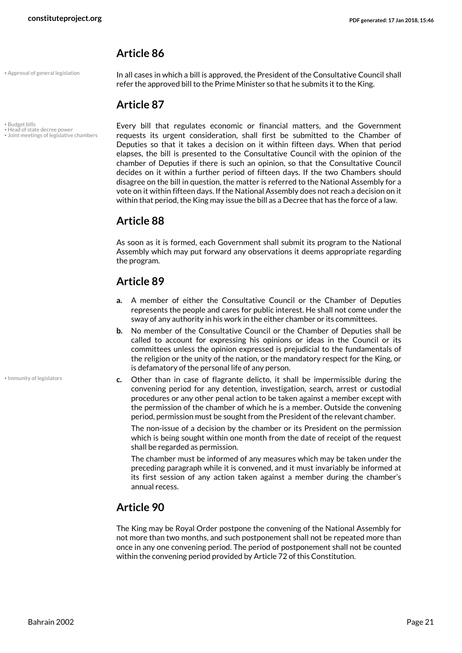• Approval of general legislation

<span id="page-20-1"></span>• Budget bills

• Head of state decree power • Joint meetings of legislative chambers <span id="page-20-0"></span>In all cases in which a bill is approved, the President of the Consultative Council shall refer the approved bill to the Prime Minister so that he submits it to the King.

#### **Article 87**

<span id="page-20-4"></span><span id="page-20-2"></span>Every bill that regulates economic or financial matters, and the Government requests its urgent consideration, shall first be submitted to the Chamber of Deputies so that it takes a decision on it within fifteen days. When that period elapses, the bill is presented to the Consultative Council with the opinion of the chamber of Deputies if there is such an opinion, so that the Consultative Council decides on it within a further period of fifteen days. If the two Chambers should disagree on the bill in question, the matter is referred to the National Assembly for a vote on it within fifteen days. If the National Assembly does not reach a decision on it within that period, the King may issue the bill as a Decree that has the force of a law.

### **Article 88**

As soon as it is formed, each Government shall submit its program to the National Assembly which may put forward any observations it deems appropriate regarding the program.

#### **Article 89**

- **a.** A member of either the Consultative Council or the Chamber of Deputies represents the people and cares for public interest. He shall not come under the sway of any authority in his work in the either chamber or its committees.
- **b.** No member of the Consultative Council or the Chamber of Deputies shall be called to account for expressing his opinions or ideas in the Council or its committees unless the opinion expressed is prejudicial to the fundamentals of the religion or the unity of the nation, or the mandatory respect for the King, or is defamatory of the personal life of any person.

<span id="page-20-3"></span>**c.** Other than in case of flagrante delicto, it shall be impermissible during the convening period for any detention, investigation, search, arrest or custodial procedures or any other penal action to be taken against a member except with the permission of the chamber of which he is a member. Outside the convening period, permission must be sought from the President of the relevant chamber.

The non-issue of a decision by the chamber or its President on the permission which is being sought within one month from the date of receipt of the request shall be regarded as permission.

The chamber must be informed of any measures which may be taken under the preceding paragraph while it is convened, and it must invariably be informed at its first session of any action taken against a member during the chamber's annual recess.

#### **Article 90**

The King may be Royal Order postpone the convening of the National Assembly for not more than two months, and such postponement shall not be repeated more than once in any one convening period. The period of postponement shall not be counted within the convening period provided by Article 72 of this Constitution.

• Immunity of legislators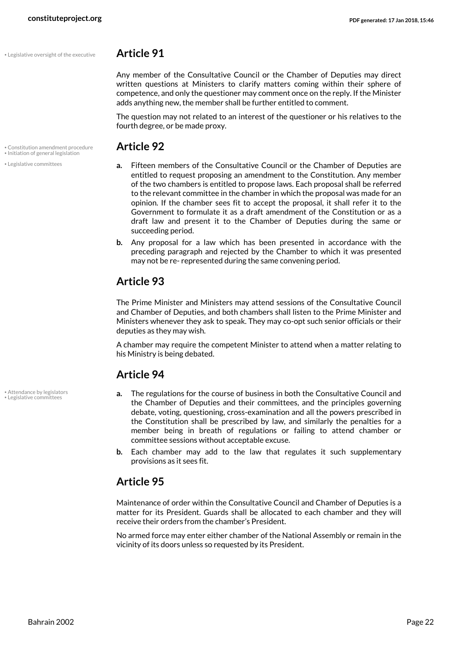• Legislative oversight of the executive **Article 91**

<span id="page-21-4"></span>Any member of the Consultative Council or the Chamber of Deputies may direct written questions at Ministers to clarify matters coming within their sphere of competence, and only the questioner may comment once on the reply. If the Minister adds anything new, the member shall be further entitled to comment.

The question may not related to an interest of the questioner or his relatives to the fourth degree, or be made proxy.

# • Constitution amendment procedure **Article 92** • Initiation of general legislation

- <span id="page-21-2"></span><span id="page-21-1"></span>**a.** Fifteen members of the Consultative Council or the Chamber of Deputies are entitled to request proposing an amendment to the Constitution. Any member of the two chambers is entitled to propose laws. Each proposal shall be referred to the relevant committee in the chamber in which the proposal was made for an opinion. If the chamber sees fit to accept the proposal, it shall refer it to the Government to formulate it as a draft amendment of the Constitution or as a draft law and present it to the Chamber of Deputies during the same or succeeding period.
- **b.** Any proposal for a law which has been presented in accordance with the preceding paragraph and rejected by the Chamber to which it was presented may not be re- represented during the same convening period.

#### **Article 93**

The Prime Minister and Ministers may attend sessions of the Consultative Council and Chamber of Deputies, and both chambers shall listen to the Prime Minister and Ministers whenever they ask to speak. They may co-opt such senior officials or their deputies as they may wish.

A chamber may require the competent Minister to attend when a matter relating to his Ministry is being debated.

#### **Article 94**

- <span id="page-21-3"></span><span id="page-21-0"></span>**a.** The regulations for the course of business in both the Consultative Council and the Chamber of Deputies and their committees, and the principles governing debate, voting, questioning, cross-examination and all the powers prescribed in the Constitution shall be prescribed by law, and similarly the penalties for a member being in breath of regulations or failing to attend chamber or committee sessions without acceptable excuse.
- **b.** Each chamber may add to the law that regulates it such supplementary provisions as it sees fit.

#### **Article 95**

Maintenance of order within the Consultative Council and Chamber of Deputies is a matter for its President. Guards shall be allocated to each chamber and they will receive their orders from the chamber's President.

No armed force may enter either chamber of the National Assembly or remain in the vicinity of its doors unless so requested by its President.

• Attendance by legislators • Legislative committees

• Legislative committees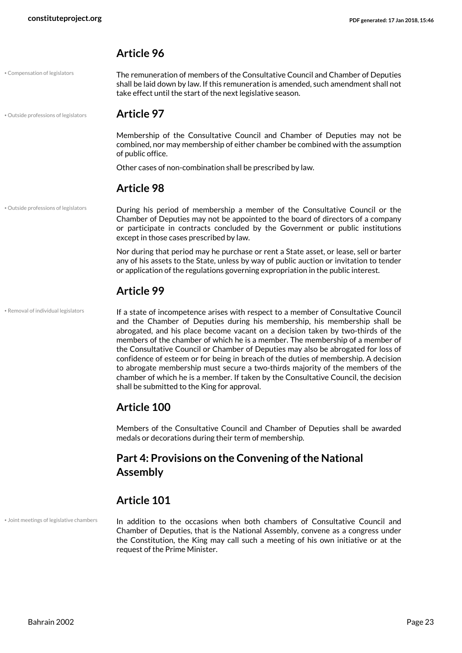• Compensation of legislators

<span id="page-22-1"></span>The remuneration of members of the Consultative Council and Chamber of Deputies shall be laid down by law. If this remuneration is amended, such amendment shall not take effect until the start of the next legislative season.

• Outside professions of legislators **Article 97**

Membership of the Consultative Council and Chamber of Deputies may not be combined, nor may membership of either chamber be combined with the assumption of public office.

Other cases of non-combination shall be prescribed by law.

#### **Article 98**

• Outside professions of legislators

<span id="page-22-3"></span>During his period of membership a member of the Consultative Council or the Chamber of Deputies may not be appointed to the board of directors of a company or participate in contracts concluded by the Government or public institutions except in those cases prescribed by law.

Nor during that period may he purchase or rent a State asset, or lease, sell or barter any of his assets to the State, unless by way of public auction or invitation to tender or application of the regulations governing expropriation in the public interest.

#### **Article 99**

• Removal of individual legislators

<span id="page-22-4"></span>If a state of incompetence arises with respect to a member of Consultative Council and the Chamber of Deputies during his membership, his membership shall be abrogated, and his place become vacant on a decision taken by two-thirds of the members of the chamber of which he is a member. The membership of a member of the Consultative Council or Chamber of Deputies may also be abrogated for loss of confidence of esteem or for being in breach of the duties of membership. A decision to abrogate membership must secure a two-thirds majority of the members of the chamber of which he is a member. If taken by the Consultative Council, the decision shall be submitted to the King for approval.

#### **Article 100**

Members of the Consultative Council and Chamber of Deputies shall be awarded medals or decorations during their term of membership.

#### <span id="page-22-0"></span>**Part 4: Provisions on the Convening of the National Assembly**

#### **Article 101**

• Joint meetings of legislative chambers

<span id="page-22-2"></span>In addition to the occasions when both chambers of Consultative Council and Chamber of Deputies, that is the National Assembly, convene as a congress under the Constitution, the King may call such a meeting of his own initiative or at the request of the Prime Minister.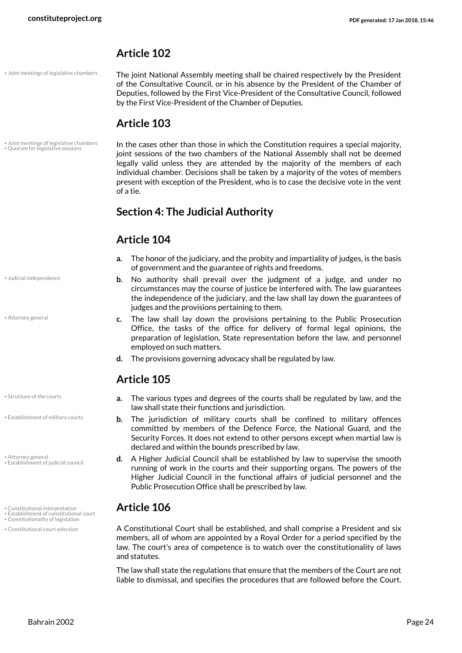• Joint meetings of legislative chambers

The joint National Assembly meeting shall be chaired respectively by the President of the Consultative Council, or in his absence by the President of the Chamber of Deputies, followed by the First Vice-President of the Consultative Council, followed by the First Vice-President of the Chamber of Deputies.

#### **Article 103**

• Joint meetings of legislative chambers • Quorum for legislative sessions

<span id="page-23-10"></span><span id="page-23-8"></span>In the cases other than those in which the Constitution requires a special majority, joint sessions of the two chambers of the National Assembly shall not be deemed legally valid unless they are attended by the majority of the members of each individual chamber. Decisions shall be taken by a majority of the votes of members present with exception of the President, who is to case the decisive vote in the vent of a tie.

#### <span id="page-23-0"></span>**Section 4: The Judicial Authority**

#### **Article 104**

- **a.** The honor of the judiciary, and the probity and impartiality of judges, is the basis of government and the guarantee of rights and freedoms.
- <span id="page-23-9"></span>**b.** No authority shall prevail over the judgment of a judge, and under no circumstances may the course of justice be interfered with. The law guarantees the independence of the judiciary, and the law shall lay down the guarantees of judges and the provisions pertaining to them.
- **c.** The law shall lay down the provisions pertaining to the Public Prosecution Office, the tasks of the office for delivery of formal legal opinions, the preparation of legislation, State representation before the law, and personnel employed on such matters.
- **d.** The provisions governing advocacy shall be regulated by law.

#### **Article 105**

- <span id="page-23-11"></span>**a.** The various types and degrees of the courts shall be regulated by law, and the law shall state their functions and jurisdiction.
- <span id="page-23-7"></span>**b.** The jurisdiction of military courts shall be confined to military offences committed by members of the Defence Force, the National Guard, and the Security Forces. It does not extend to other persons except when martial law is declared and within the bounds prescribed by law.
- <span id="page-23-6"></span>**d.** A Higher Judicial Council shall be established by law to supervise the smooth running of work in the courts and their supporting organs. The powers of the Higher Judicial Council in the functional affairs of judicial personnel and the Public Prosecution Office shall be prescribed by law.

<span id="page-23-5"></span><span id="page-23-4"></span><span id="page-23-3"></span><span id="page-23-2"></span>A Constitutional Court shall be established, and shall comprise a President and six members, all of whom are appointed by a Royal Order for a period specified by the law. The court's area of competence is to watch over the constitutionality of laws and statutes.

The law shall state the regulations that ensure that the members of the Court are not liable to dismissal, and specifies the procedures that are followed before the Court.

• Judicial independence

• Attorney general

• Structure of the courts

• Establishment of military courts

<span id="page-23-1"></span>• Attorney general • Establishment of judicial council

- Constitutional interpretation **Article 106** Establishment of constitutional court
- Constitutionality of legislation

• Constitutional court selection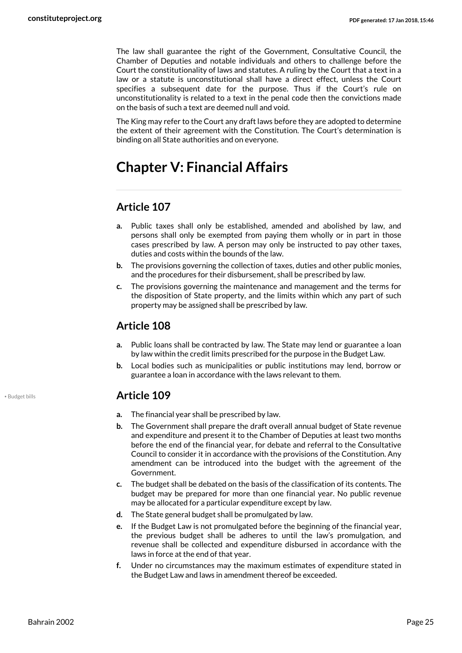The law shall guarantee the right of the Government, Consultative Council, the Chamber of Deputies and notable individuals and others to challenge before the Court the constitutionality of laws and statutes. A ruling by the Court that a text in a law or a statute is unconstitutional shall have a direct effect, unless the Court specifies a subsequent date for the purpose. Thus if the Court's rule on unconstitutionality is related to a text in the penal code then the convictions made on the basis of such a text are deemed null and void.

The King may refer to the Court any draft laws before they are adopted to determine the extent of their agreement with the Constitution. The Court's determination is binding on all State authorities and on everyone.

# <span id="page-24-0"></span>**Chapter V: Financial Affairs**

#### **Article 107**

- **a.** Public taxes shall only be established, amended and abolished by law, and persons shall only be exempted from paying them wholly or in part in those cases prescribed by law. A person may only be instructed to pay other taxes, duties and costs within the bounds of the law.
- **b.** The provisions governing the collection of taxes, duties and other public monies, and the procedures for their disbursement, shall be prescribed by law.
- **c.** The provisions governing the maintenance and management and the terms for the disposition of State property, and the limits within which any part of such property may be assigned shall be prescribed by law.

#### **Article 108**

- **a.** Public loans shall be contracted by law. The State may lend or guarantee a loan by law within the credit limits prescribed for the purpose in the Budget Law.
- **b.** Local bodies such as municipalities or public institutions may lend, borrow or guarantee a loan in accordance with the laws relevant to them.

#### • Budget bills **Article 109**

- **a.** The financial year shall be prescribed by law.
- **b.** The Government shall prepare the draft overall annual budget of State revenue and expenditure and present it to the Chamber of Deputies at least two months before the end of the financial year, for debate and referral to the Consultative Council to consider it in accordance with the provisions of the Constitution. Any amendment can be introduced into the budget with the agreement of the Government.
- **c.** The budget shall be debated on the basis of the classification of its contents. The budget may be prepared for more than one financial year. No public revenue may be allocated for a particular expenditure except by law.
- **d.** The State general budget shall be promulgated by law.
- **e.** If the Budget Law is not promulgated before the beginning of the financial year, the previous budget shall be adheres to until the law's promulgation, and revenue shall be collected and expenditure disbursed in accordance with the laws in force at the end of that year.
- **f.** Under no circumstances may the maximum estimates of expenditure stated in the Budget Law and laws in amendment thereof be exceeded.

<span id="page-24-1"></span>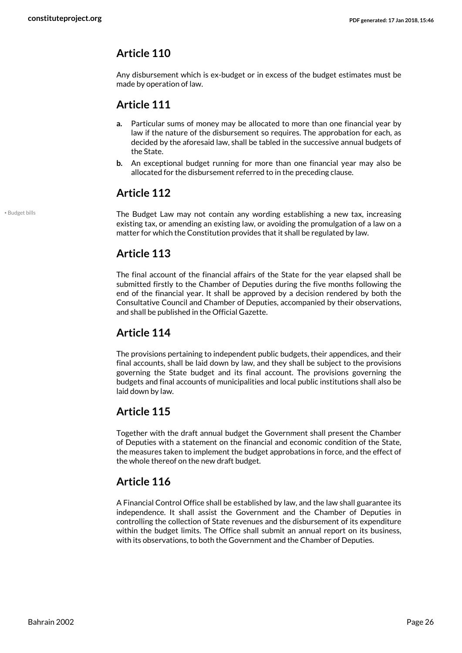Any disbursement which is ex-budget or in excess of the budget estimates must be made by operation of law.

#### **Article 111**

- **a.** Particular sums of money may be allocated to more than one financial year by law if the nature of the disbursement so requires. The approbation for each, as decided by the aforesaid law, shall be tabled in the successive annual budgets of the State.
- **b.** An exceptional budget running for more than one financial year may also be allocated for the disbursement referred to in the preceding clause.

#### **Article 112**

The Budget Law may not contain any wording establishing a new tax, increasing existing tax, or amending an existing law, or avoiding the promulgation of a law on a matter for which the Constitution provides that it shall be regulated by law.

#### **Article 113**

The final account of the financial affairs of the State for the year elapsed shall be submitted firstly to the Chamber of Deputies during the five months following the end of the financial year. It shall be approved by a decision rendered by both the Consultative Council and Chamber of Deputies, accompanied by their observations, and shall be published in the Official Gazette.

#### **Article 114**

The provisions pertaining to independent public budgets, their appendices, and their final accounts, shall be laid down by law, and they shall be subject to the provisions governing the State budget and its final account. The provisions governing the budgets and final accounts of municipalities and local public institutions shall also be laid down by law.

### **Article 115**

Together with the draft annual budget the Government shall present the Chamber of Deputies with a statement on the financial and economic condition of the State, the measures taken to implement the budget approbations in force, and the effect of the whole thereof on the new draft budget.

### **Article 116**

A Financial Control Office shall be established by law, and the law shall guarantee its independence. It shall assist the Government and the Chamber of Deputies in controlling the collection of State revenues and the disbursement of its expenditure within the budget limits. The Office shall submit an annual report on its business, with its observations, to both the Government and the Chamber of Deputies.

<span id="page-25-0"></span>• Budget bills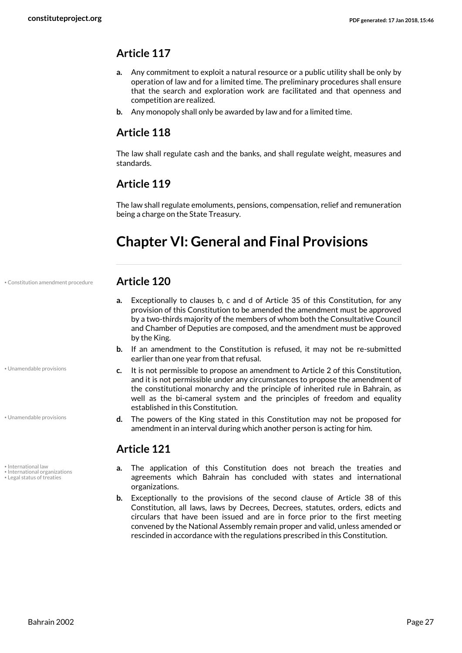- **a.** Any commitment to exploit a natural resource or a public utility shall be only by operation of law and for a limited time. The preliminary procedures shall ensure that the search and exploration work are facilitated and that openness and competition are realized.
- **b.** Any monopoly shall only be awarded by law and for a limited time.

#### **Article 118**

The law shall regulate cash and the banks, and shall regulate weight, measures and standards.

#### **Article 119**

The law shall regulate emoluments, pensions, compensation, relief and remuneration being a charge on the State Treasury.

# <span id="page-26-0"></span>**Chapter VI: General and Final Provisions**

- <span id="page-26-1"></span>**a.** Exceptionally to clauses b, c and d of Article 35 of this Constitution, for any provision of this Constitution to be amended the amendment must be approved by a two-thirds majority of the members of whom both the Consultative Council and Chamber of Deputies are composed, and the amendment must be approved by the King.
- **b.** If an amendment to the Constitution is refused, it may not be re-submitted earlier than one year from that refusal.
- **c.** It is not permissible to propose an amendment to Article 2 of this Constitution, and it is not permissible under any circumstances to propose the amendment of the constitutional monarchy and the principle of inherited rule in Bahrain, as well as the bi-cameral system and the principles of freedom and equality established in this Constitution.
- <span id="page-26-5"></span>**d.** The powers of the King stated in this Constitution may not be proposed for amendment in an interval during which another person is acting for him.

#### **Article 121**

- <span id="page-26-4"></span><span id="page-26-3"></span>**a.** The application of this Constitution does not breach the treaties and agreements which Bahrain has concluded with states and international organizations.
- **b.** Exceptionally to the provisions of the second clause of Article 38 of this Constitution, all laws, laws by Decrees, Decrees, statutes, orders, edicts and circulars that have been issued and are in force prior to the first meeting convened by the National Assembly remain proper and valid, unless amended or rescinded in accordance with the regulations prescribed in this Constitution.

• Constitution amendment procedure **Article 120**

• Unamendable provisions

• Unamendable provisions

<span id="page-26-2"></span>• International law

• International organizations • Legal status of treaties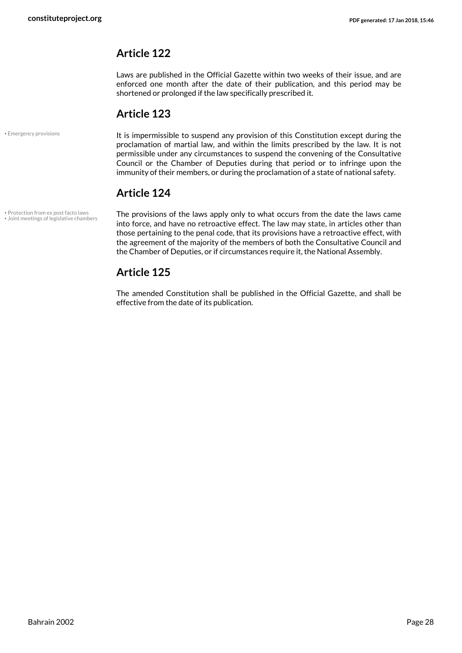Laws are published in the Official Gazette within two weeks of their issue, and are enforced one month after the date of their publication, and this period may be shortened or prolonged if the law specifically prescribed it.

#### **Article 123**

• Emergency provisions

<span id="page-27-0"></span>It is impermissible to suspend any provision of this Constitution except during the proclamation of martial law, and within the limits prescribed by the law. It is not permissible under any circumstances to suspend the convening of the Consultative Council or the Chamber of Deputies during that period or to infringe upon the immunity of their members, or during the proclamation of a state of national safety.

#### **Article 124**

• Protection from ex post facto laws • Joint meetings of legislative chambers <span id="page-27-2"></span><span id="page-27-1"></span>The provisions of the laws apply only to what occurs from the date the laws came into force, and have no retroactive effect. The law may state, in articles other than those pertaining to the penal code, that its provisions have a retroactive effect, with the agreement of the majority of the members of both the Consultative Council and the Chamber of Deputies, or if circumstances require it, the National Assembly.

### **Article 125**

The amended Constitution shall be published in the Official Gazette, and shall be effective from the date of its publication.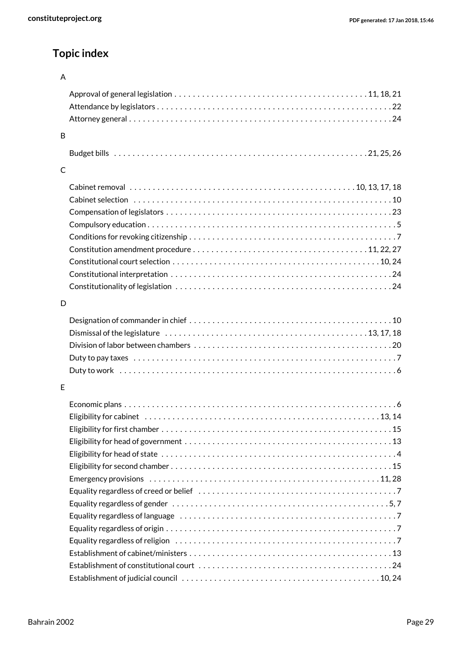### **Topic index**

#### A

| B |  |
|---|--|
|   |  |
|   |  |
| C |  |
|   |  |
|   |  |
|   |  |
|   |  |
|   |  |
|   |  |
|   |  |
|   |  |
|   |  |
| D |  |
|   |  |
|   |  |
|   |  |
|   |  |
|   |  |
|   |  |
| E |  |
|   |  |
|   |  |
|   |  |
|   |  |
|   |  |
|   |  |
|   |  |
|   |  |
|   |  |
|   |  |
|   |  |
|   |  |
|   |  |
|   |  |
|   |  |
|   |  |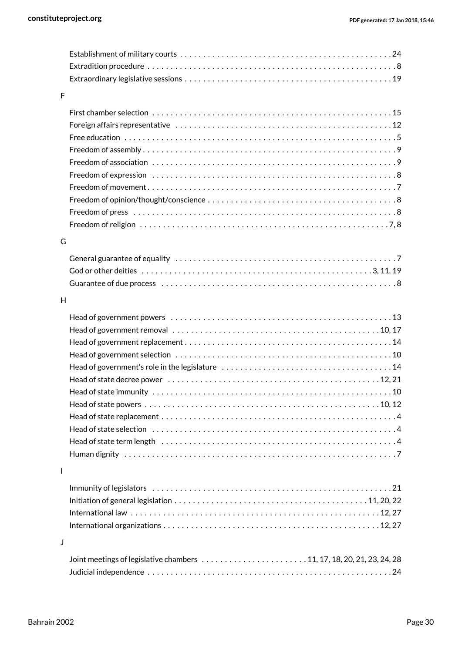| F |                                                                                                               |
|---|---------------------------------------------------------------------------------------------------------------|
|   |                                                                                                               |
|   |                                                                                                               |
|   |                                                                                                               |
|   |                                                                                                               |
|   |                                                                                                               |
|   |                                                                                                               |
|   |                                                                                                               |
|   |                                                                                                               |
|   |                                                                                                               |
|   |                                                                                                               |
|   |                                                                                                               |
| G |                                                                                                               |
|   |                                                                                                               |
|   |                                                                                                               |
|   | God or other deities $\dots\dots\dots\dots\dots\dots\dots\dots\dots\dots\dots\dots\dots\dots\dots\dots$       |
|   |                                                                                                               |
| H |                                                                                                               |
|   |                                                                                                               |
|   |                                                                                                               |
|   | Head of government removal $\dots\dots\dots\dots\dots\dots\dots\dots\dots\dots\dots\dots\dots\dots\dots\dots$ |
|   |                                                                                                               |
|   |                                                                                                               |
|   |                                                                                                               |
|   |                                                                                                               |
|   |                                                                                                               |
|   |                                                                                                               |
|   |                                                                                                               |
|   |                                                                                                               |
|   |                                                                                                               |

| $\mathsf J$ and $\mathsf I$ |  |
|-----------------------------|--|

Human dignity . . . . . . . . . . . . . . . . . . . . . . . . . . . . . . . . . . . . . . . . . . . . . . . . . . . . . . . . . . . [7](#page-6-11)

| Joint meetings of legislative chambers $\dots \dots \dots \dots \dots \dots \dots \dots \dots \dots 11$ , 17, 18, 20, 21, 23, 24, 28 |  |
|--------------------------------------------------------------------------------------------------------------------------------------|--|
|                                                                                                                                      |  |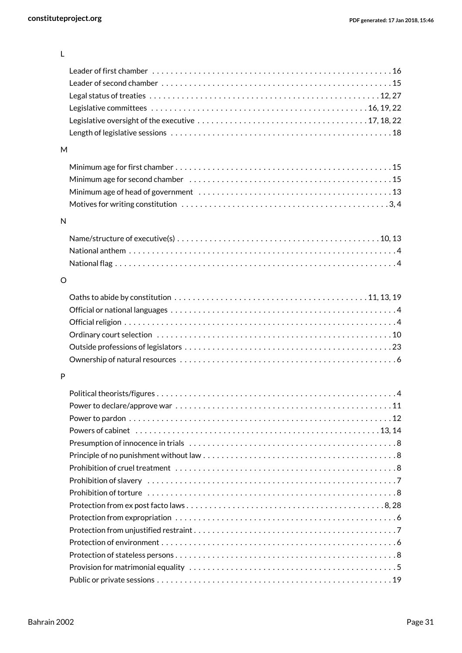| L        |                                                                                                                |
|----------|----------------------------------------------------------------------------------------------------------------|
|          |                                                                                                                |
| M        |                                                                                                                |
|          | Minimum age of head of government enterconduction of the state of the state of the state of the state of the s |
| N        |                                                                                                                |
|          |                                                                                                                |
| $\Omega$ |                                                                                                                |
|          |                                                                                                                |
| P        |                                                                                                                |
|          |                                                                                                                |
|          |                                                                                                                |

Provision for matrimonial equality . . . . . . . . . . . . . . . . . . . . . . . . . . . . . . . . . . . . . . . . . . . . . [5](#page-4-4) Public or private sessions . . . . . . . . . . . . . . . . . . . . . . . . . . . . . . . . . . . . . . . . . . . . . . . . . . . [19](#page-18-4)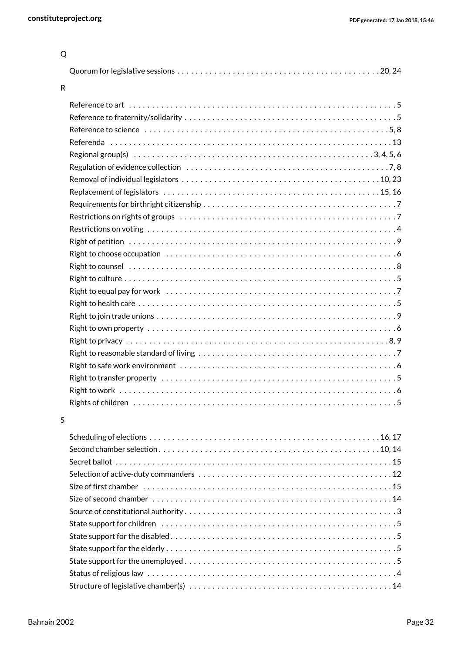#### Q

| R |                                                                                                                  |
|---|------------------------------------------------------------------------------------------------------------------|
|   |                                                                                                                  |
|   |                                                                                                                  |
|   |                                                                                                                  |
|   |                                                                                                                  |
|   | Regional group(s) $\dots\dots\dots\dots\dots\dots\dots\dots\dots\dots\dots\dots\dots\dots\dots\dots\dots3,4,5,6$ |
|   |                                                                                                                  |
|   |                                                                                                                  |
|   |                                                                                                                  |
|   |                                                                                                                  |
|   |                                                                                                                  |
|   |                                                                                                                  |
|   |                                                                                                                  |
|   |                                                                                                                  |
|   |                                                                                                                  |
|   |                                                                                                                  |
|   |                                                                                                                  |
|   |                                                                                                                  |
|   |                                                                                                                  |
|   |                                                                                                                  |
|   |                                                                                                                  |
|   |                                                                                                                  |
|   |                                                                                                                  |
|   |                                                                                                                  |
|   |                                                                                                                  |
|   |                                                                                                                  |
| S |                                                                                                                  |
|   |                                                                                                                  |
|   |                                                                                                                  |
|   |                                                                                                                  |
|   |                                                                                                                  |
|   |                                                                                                                  |
|   |                                                                                                                  |
|   |                                                                                                                  |
|   |                                                                                                                  |
|   |                                                                                                                  |
|   |                                                                                                                  |
|   |                                                                                                                  |
|   |                                                                                                                  |
|   |                                                                                                                  |